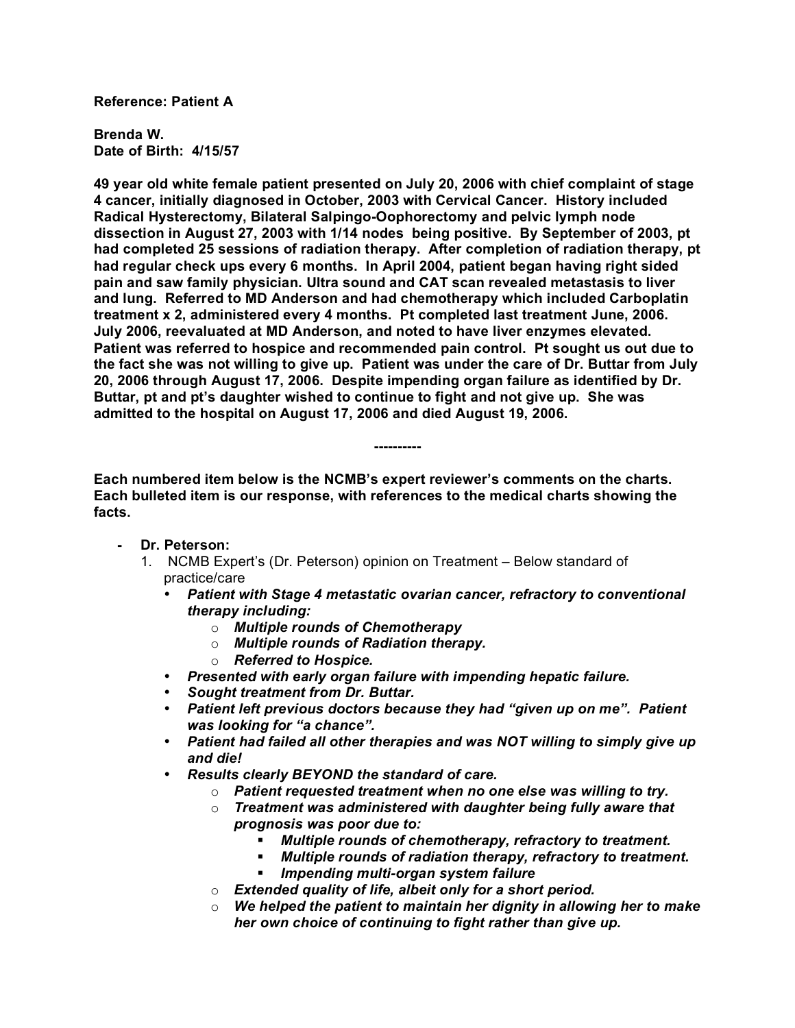## **Reference: Patient A**

**Brenda W. Date of Birth: 4/15/57**

**49 year old white female patient presented on July 20, 2006 with chief complaint of stage 4 cancer, initially diagnosed in October, 2003 with Cervical Cancer. History included Radical Hysterectomy, Bilateral Salpingo-Oophorectomy and pelvic lymph node dissection in August 27, 2003 with 1/14 nodes being positive. By September of 2003, pt had completed 25 sessions of radiation therapy. After completion of radiation therapy, pt had regular check ups every 6 months. In April 2004, patient began having right sided pain and saw family physician. Ultra sound and CAT scan revealed metastasis to liver and lung. Referred to MD Anderson and had chemotherapy which included Carboplatin treatment x 2, administered every 4 months. Pt completed last treatment June, 2006. July 2006, reevaluated at MD Anderson, and noted to have liver enzymes elevated. Patient was referred to hospice and recommended pain control. Pt sought us out due to the fact she was not willing to give up. Patient was under the care of Dr. Buttar from July 20, 2006 through August 17, 2006. Despite impending organ failure as identified by Dr. Buttar, pt and pt's daughter wished to continue to fight and not give up. She was admitted to the hospital on August 17, 2006 and died August 19, 2006.**

**Each numbered item below is the NCMB's expert reviewer's comments on the charts. Each bulleted item is our response, with references to the medical charts showing the facts.**

**----------**

- **- Dr. Peterson:**
	- 1. NCMB Expert's (Dr. Peterson) opinion on Treatment Below standard of practice/care
		- *Patient with Stage 4 metastatic ovarian cancer, refractory to conventional therapy including:*
			- o *Multiple rounds of Chemotherapy*
			- o *Multiple rounds of Radiation therapy.*
			- o *Referred to Hospice.*
		- *Presented with early organ failure with impending hepatic failure.*
		- *Sought treatment from Dr. Buttar.*
		- *Patient left previous doctors because they had "given up on me". Patient was looking for "a chance".*
		- *Patient had failed all other therapies and was NOT willing to simply give up and die!*
		- *Results clearly BEYOND the standard of care.* 
			- o *Patient requested treatment when no one else was willing to try.*
			- o *Treatment was administered with daughter being fully aware that prognosis was poor due to:*
				- *Multiple rounds of chemotherapy, refractory to treatment.*
				- *Multiple rounds of radiation therapy, refractory to treatment.*
				- *Impending multi-organ system failure*
			- o *Extended quality of life, albeit only for a short period.*
			- o *We helped the patient to maintain her dignity in allowing her to make her own choice of continuing to fight rather than give up.*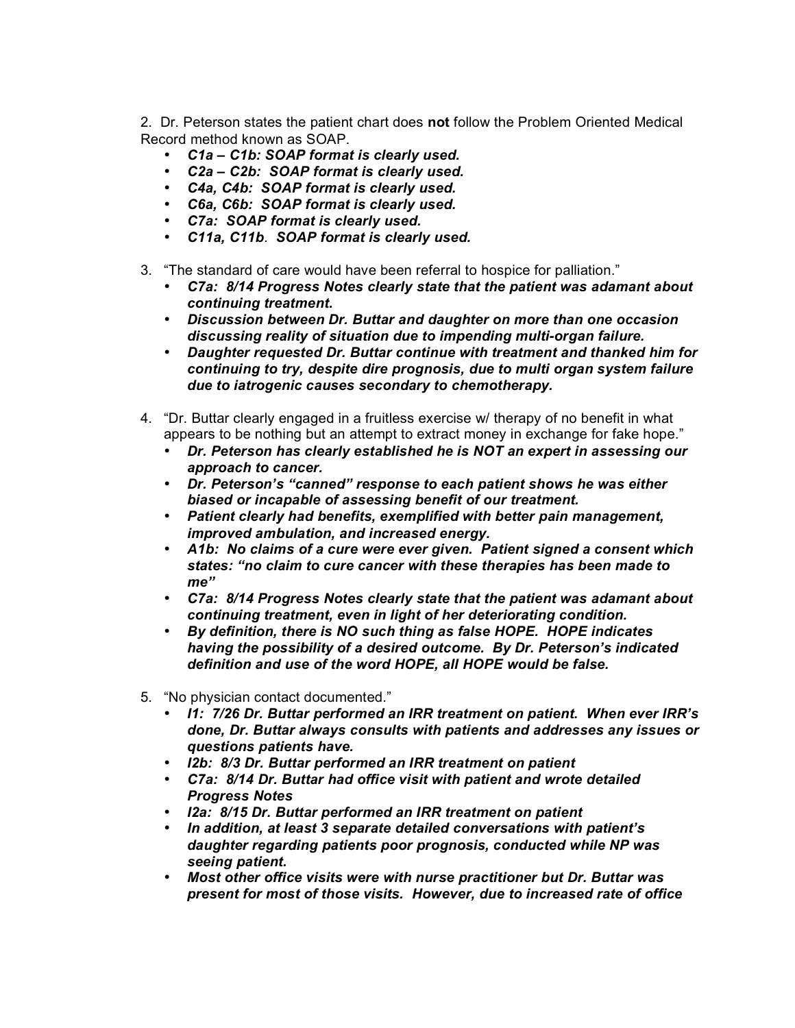2. Dr. Peterson states the patient chart does **not** follow the Problem Oriented Medical Record method known as SOAP.

- *C1a C1b: SOAP format is clearly used.*
- *C2a C2b: SOAP format is clearly used.*
- *C4a, C4b: SOAP format is clearly used.*
- *C6a, C6b: SOAP format is clearly used.*
- *C7a: SOAP format is clearly used.*
- *C11a, C11b*. *SOAP format is clearly used.*
- 3. "The standard of care would have been referral to hospice for palliation."
	- *C7a: 8/14 Progress Notes clearly state that the patient was adamant about continuing treatment.*
	- *Discussion between Dr. Buttar and daughter on more than one occasion discussing reality of situation due to impending multi-organ failure.*
	- *Daughter requested Dr. Buttar continue with treatment and thanked him for continuing to try, despite dire prognosis, due to multi organ system failure due to iatrogenic causes secondary to chemotherapy.*
- 4. "Dr. Buttar clearly engaged in a fruitless exercise w/ therapy of no benefit in what appears to be nothing but an attempt to extract money in exchange for fake hope."
	- *Dr. Peterson has clearly established he is NOT an expert in assessing our approach to cancer.*
	- *Dr. Peterson's "canned" response to each patient shows he was either biased or incapable of assessing benefit of our treatment.*
	- *Patient clearly had benefits, exemplified with better pain management, improved ambulation, and increased energy.*
	- *A1b: No claims of a cure were ever given. Patient signed a consent which states: "no claim to cure cancer with these therapies has been made to me"*
	- *C7a: 8/14 Progress Notes clearly state that the patient was adamant about continuing treatment, even in light of her deteriorating condition.*
	- *By definition, there is NO such thing as false HOPE. HOPE indicates having the possibility of a desired outcome. By Dr. Peterson's indicated definition and use of the word HOPE, all HOPE would be false.*
- 5. "No physician contact documented."
	- *I1: 7/26 Dr. Buttar performed an IRR treatment on patient. When ever IRR's done, Dr. Buttar always consults with patients and addresses any issues or questions patients have.*
	- *I2b: 8/3 Dr. Buttar performed an IRR treatment on patient*
	- *C7a: 8/14 Dr. Buttar had office visit with patient and wrote detailed Progress Notes*
	- *I2a: 8/15 Dr. Buttar performed an IRR treatment on patient*
	- *In addition, at least 3 separate detailed conversations with patient's daughter regarding patients poor prognosis, conducted while NP was seeing patient.*
	- *Most other office visits were with nurse practitioner but Dr. Buttar was present for most of those visits. However, due to increased rate of office*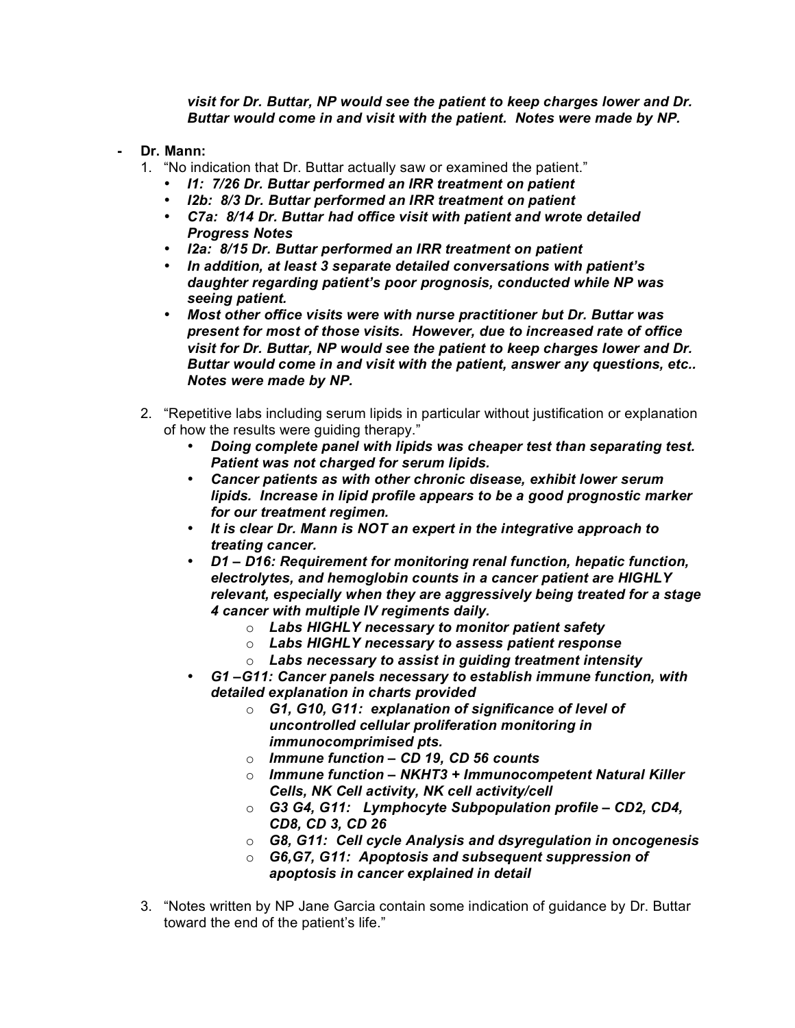*visit for Dr. Buttar, NP would see the patient to keep charges lower and Dr. Buttar would come in and visit with the patient. Notes were made by NP.*

- **- Dr. Mann:**
	- 1. "No indication that Dr. Buttar actually saw or examined the patient."
		- *I1: 7/26 Dr. Buttar performed an IRR treatment on patient*
		- *I2b: 8/3 Dr. Buttar performed an IRR treatment on patient*
		- *C7a: 8/14 Dr. Buttar had office visit with patient and wrote detailed Progress Notes*
		- *I2a: 8/15 Dr. Buttar performed an IRR treatment on patient*
		- *In addition, at least 3 separate detailed conversations with patient's daughter regarding patient's poor prognosis, conducted while NP was seeing patient.*
		- *Most other office visits were with nurse practitioner but Dr. Buttar was present for most of those visits. However, due to increased rate of office visit for Dr. Buttar, NP would see the patient to keep charges lower and Dr. Buttar would come in and visit with the patient, answer any questions, etc.. Notes were made by NP.*
	- 2. "Repetitive labs including serum lipids in particular without justification or explanation of how the results were guiding therapy."
		- *Doing complete panel with lipids was cheaper test than separating test. Patient was not charged for serum lipids.*
		- *Cancer patients as with other chronic disease, exhibit lower serum lipids. Increase in lipid profile appears to be a good prognostic marker for our treatment regimen.*
		- *It is clear Dr. Mann is NOT an expert in the integrative approach to treating cancer.*
		- *D1 D16: Requirement for monitoring renal function, hepatic function, electrolytes, and hemoglobin counts in a cancer patient are HIGHLY relevant, especially when they are aggressively being treated for a stage 4 cancer with multiple IV regiments daily.* 
			- o *Labs HIGHLY necessary to monitor patient safety*
			- o *Labs HIGHLY necessary to assess patient response*
			- o *Labs necessary to assist in guiding treatment intensity*
		- *G1 –G11: Cancer panels necessary to establish immune function, with detailed explanation in charts provided*
			- o *G1, G10, G11: explanation of significance of level of uncontrolled cellular proliferation monitoring in immunocomprimised pts.*
			- o *Immune function CD 19, CD 56 counts*
			- o *Immune function NKHT3 + Immunocompetent Natural Killer Cells, NK Cell activity, NK cell activity/cell*
			- o *G3 G4, G11: Lymphocyte Subpopulation profile CD2, CD4, CD8, CD 3, CD 26*
			- o *G8, G11: Cell cycle Analysis and dsyregulation in oncogenesis*
			- o *G6,G7, G11: Apoptosis and subsequent suppression of apoptosis in cancer explained in detail*
	- 3. "Notes written by NP Jane Garcia contain some indication of guidance by Dr. Buttar toward the end of the patient's life."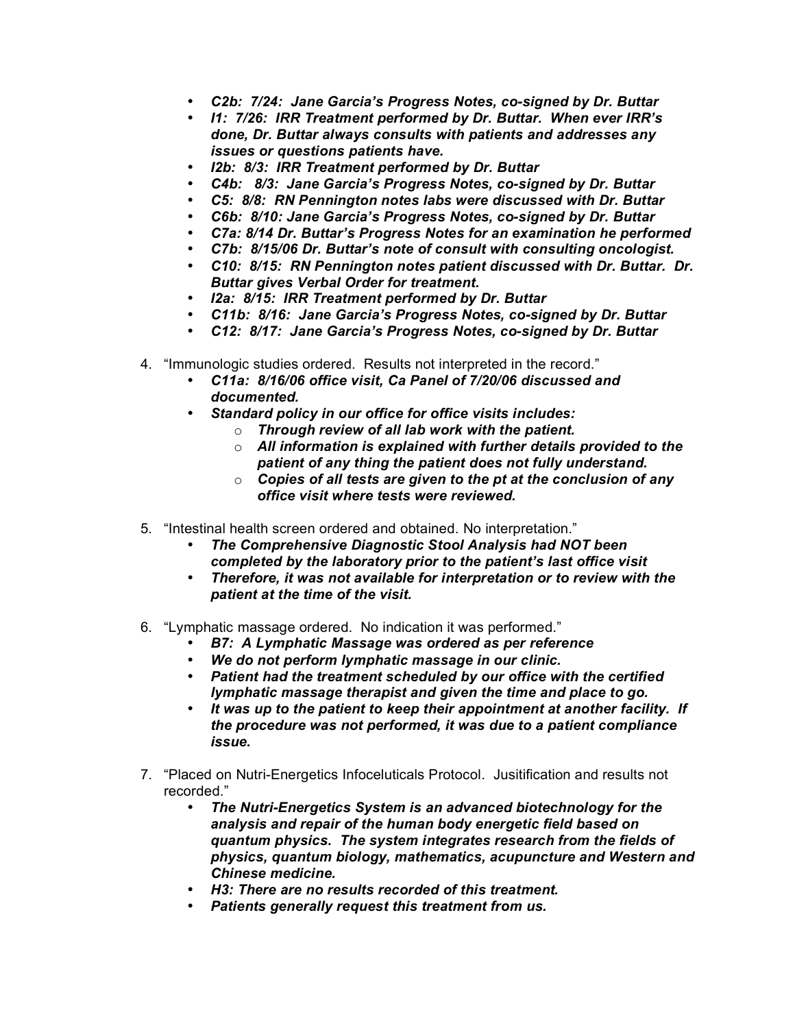- *C2b: 7/24: Jane Garcia's Progress Notes, co-signed by Dr. Buttar*
- *I1: 7/26: IRR Treatment performed by Dr. Buttar. When ever IRR's done, Dr. Buttar always consults with patients and addresses any issues or questions patients have.*
- *I2b: 8/3: IRR Treatment performed by Dr. Buttar*
- *C4b: 8/3: Jane Garcia's Progress Notes, co-signed by Dr. Buttar*
- *C5: 8/8: RN Pennington notes labs were discussed with Dr. Buttar*
- *C6b: 8/10: Jane Garcia's Progress Notes, co-signed by Dr. Buttar*
- *C7a: 8/14 Dr. Buttar's Progress Notes for an examination he performed*
- *C7b: 8/15/06 Dr. Buttar's note of consult with consulting oncologist.*
- *C10: 8/15: RN Pennington notes patient discussed with Dr. Buttar. Dr. Buttar gives Verbal Order for treatment.*
- *I2a: 8/15: IRR Treatment performed by Dr. Buttar*
- *C11b: 8/16: Jane Garcia's Progress Notes, co-signed by Dr. Buttar*
- *C12: 8/17: Jane Garcia's Progress Notes, co-signed by Dr. Buttar*
- 4. "Immunologic studies ordered. Results not interpreted in the record."
	- *C11a: 8/16/06 office visit, Ca Panel of 7/20/06 discussed and documented.*
	- *Standard policy in our office for office visits includes:*
		- o *Through review of all lab work with the patient.*
		- o *All information is explained with further details provided to the patient of any thing the patient does not fully understand.*
		- o *Copies of all tests are given to the pt at the conclusion of any office visit where tests were reviewed.*
- 5. "Intestinal health screen ordered and obtained. No interpretation."
	- *The Comprehensive Diagnostic Stool Analysis had NOT been completed by the laboratory prior to the patient's last office visit*
	- *Therefore, it was not available for interpretation or to review with the patient at the time of the visit.*
- 6. "Lymphatic massage ordered. No indication it was performed."
	- *B7: A Lymphatic Massage was ordered as per reference*
	- *We do not perform lymphatic massage in our clinic.*
	- *Patient had the treatment scheduled by our office with the certified lymphatic massage therapist and given the time and place to go.*
	- *It was up to the patient to keep their appointment at another facility. If the procedure was not performed, it was due to a patient compliance issue.*
- 7. "Placed on Nutri-Energetics Infoceluticals Protocol. Jusitification and results not recorded."
	- *The Nutri-Energetics System is an advanced biotechnology for the analysis and repair of the human body energetic field based on quantum physics. The system integrates research from the fields of physics, quantum biology, mathematics, acupuncture and Western and Chinese medicine.*
	- *H3: There are no results recorded of this treatment.*
	- *Patients generally request this treatment from us.*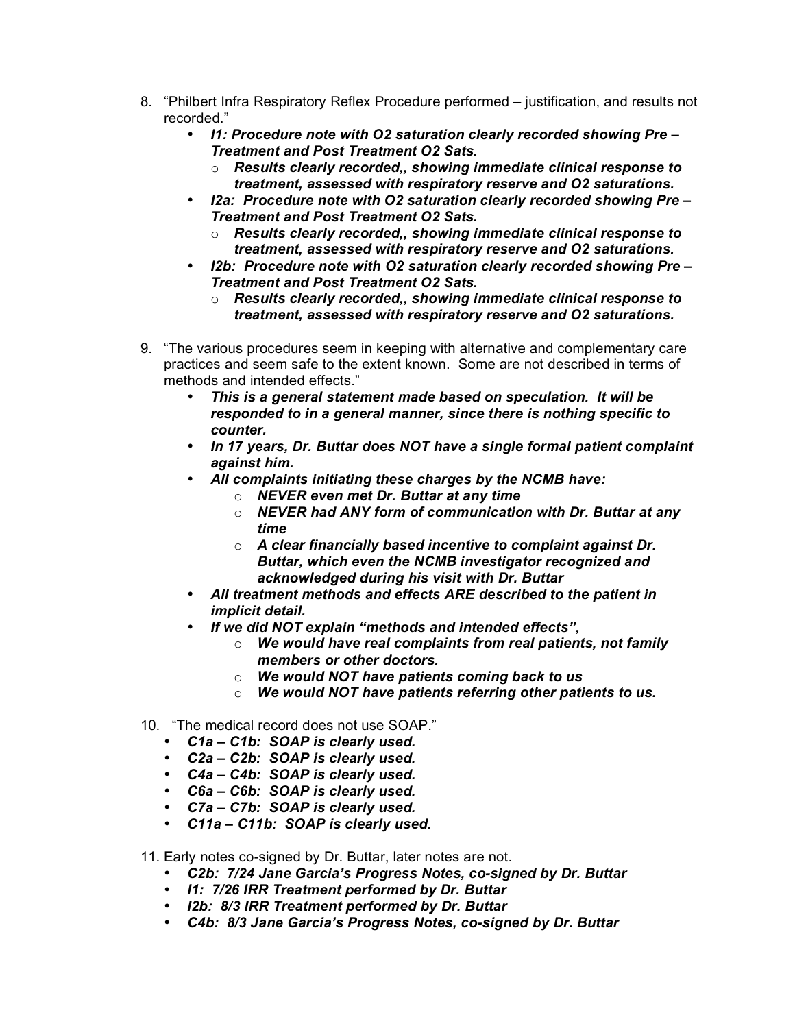- 8. "Philbert Infra Respiratory Reflex Procedure performed justification, and results not recorded."
	- *I1: Procedure note with O2 saturation clearly recorded showing Pre – Treatment and Post Treatment O2 Sats.* 
		- o *Results clearly recorded,, showing immediate clinical response to treatment, assessed with respiratory reserve and O2 saturations.*
	- *I2a: Procedure note with O2 saturation clearly recorded showing Pre – Treatment and Post Treatment O2 Sats.* 
		- o *Results clearly recorded,, showing immediate clinical response to treatment, assessed with respiratory reserve and O2 saturations.*
	- *I2b: Procedure note with O2 saturation clearly recorded showing Pre – Treatment and Post Treatment O2 Sats.* 
		- o *Results clearly recorded,, showing immediate clinical response to treatment, assessed with respiratory reserve and O2 saturations.*
- 9. "The various procedures seem in keeping with alternative and complementary care practices and seem safe to the extent known. Some are not described in terms of methods and intended effects."
	- *This is a general statement made based on speculation. It will be responded to in a general manner, since there is nothing specific to counter.*
	- *In 17 years, Dr. Buttar does NOT have a single formal patient complaint against him.*
	- *All complaints initiating these charges by the NCMB have:*
		- o *NEVER even met Dr. Buttar at any time*
		- o *NEVER had ANY form of communication with Dr. Buttar at any time*
		- o *A clear financially based incentive to complaint against Dr. Buttar, which even the NCMB investigator recognized and acknowledged during his visit with Dr. Buttar*
	- *All treatment methods and effects ARE described to the patient in implicit detail.*
	- *If we did NOT explain "methods and intended effects",* 
		- o *We would have real complaints from real patients, not family members or other doctors.*
		- o *We would NOT have patients coming back to us*
		- o *We would NOT have patients referring other patients to us.*
- 10. "The medical record does not use SOAP."
	- *C1a C1b: SOAP is clearly used.*
	- *C2a C2b: SOAP is clearly used.*
	- *C4a C4b: SOAP is clearly used.*
	- *C6a C6b: SOAP is clearly used.*
	- *C7a C7b: SOAP is clearly used.*
	- *C11a C11b: SOAP is clearly used.*
- 11. Early notes co-signed by Dr. Buttar, later notes are not.
	- *C2b: 7/24 Jane Garcia's Progress Notes, co-signed by Dr. Buttar*
	- *I1: 7/26 IRR Treatment performed by Dr. Buttar*
	- *I2b: 8/3 IRR Treatment performed by Dr. Buttar*
	- *C4b: 8/3 Jane Garcia's Progress Notes, co-signed by Dr. Buttar*